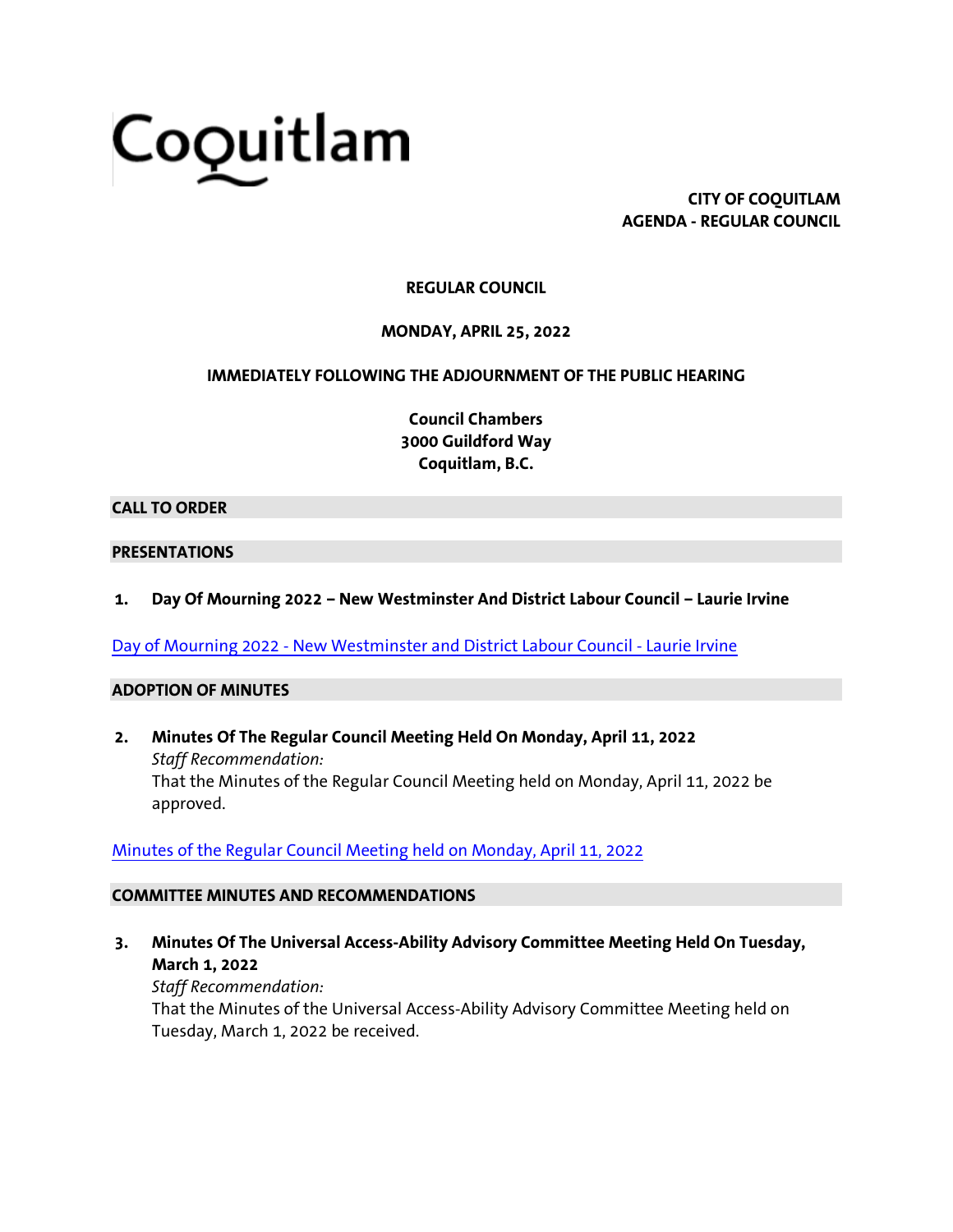# Coquitlam

**CITY OF COQUITLAM AGENDA - REGULAR COUNCIL**

### **REGULAR COUNCIL**

#### **MONDAY, APRIL 25, 2022**

#### **IMMEDIATELY FOLLOWING THE ADJOURNMENT OF THE PUBLIC HEARING**

**Council Chambers 3000 Guildford Way Coquitlam, B.C.**

#### **CALL TO ORDER**

#### **PRESENTATIONS**

**1. Day Of Mourning 2022 – New Westminster And District Labour Council – Laurie Irvine**

Day of Mourning 2022 - [New Westminster and District Labour Council -](https://coquitlam.ca.granicus.com/MetaViewer.php?view_id=2&event_id=1411&meta_id=54759) Laurie Irvine

#### **ADOPTION OF MINUTES**

**2. Minutes Of The Regular Council Meeting Held On Monday, April 11, 2022** *Staff Recommendation:* That the Minutes of the Regular Council Meeting held on Monday, April 11, 2022 be approved.

[Minutes of the Regular Council Meeting held on Monday, April 11, 2022](https://coquitlam.ca.granicus.com/MetaViewer.php?view_id=2&event_id=1411&meta_id=54761)

#### **COMMITTEE MINUTES AND RECOMMENDATIONS**

**3. Minutes Of The Universal Access-Ability Advisory Committee Meeting Held On Tuesday, March 1, 2022**

*Staff Recommendation:* That the Minutes of the Universal Access-Ability Advisory Committee Meeting held on Tuesday, March 1, 2022 be received.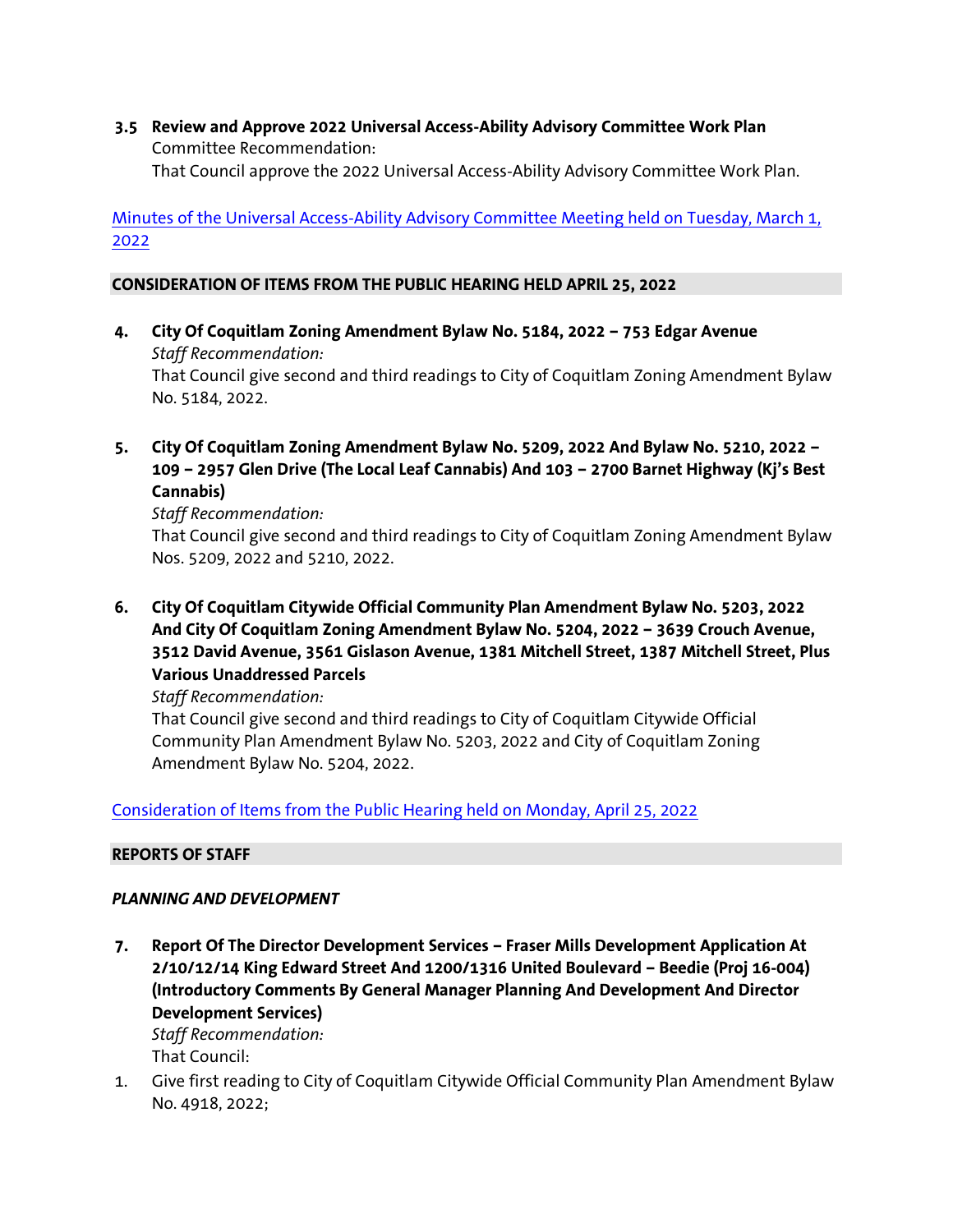**3.5 Review and Approve 2022 Universal Access-Ability Advisory Committee Work Plan** Committee Recommendation: That Council approve the 2022 Universal Access-Ability Advisory Committee Work Plan.

[Minutes of the Universal Access-Ability Advisory Committee Meeting held on Tuesday, March 1,](https://coquitlam.ca.granicus.com/MetaViewer.php?view_id=2&event_id=1411&meta_id=54763)  [2022](https://coquitlam.ca.granicus.com/MetaViewer.php?view_id=2&event_id=1411&meta_id=54763)

#### **CONSIDERATION OF ITEMS FROM THE PUBLIC HEARING HELD APRIL 25, 2022**

- **4. City Of Coquitlam Zoning Amendment Bylaw No. 5184, 2022 – 753 Edgar Avenue** *Staff Recommendation:* That Council give second and third readings to City of Coquitlam Zoning Amendment Bylaw No. 5184, 2022.
- **5. City Of Coquitlam Zoning Amendment Bylaw No. 5209, 2022 And Bylaw No. 5210, 2022 – 109 – 2957 Glen Drive (The Local Leaf Cannabis) And 103 – 2700 Barnet Highway (Kj's Best Cannabis)**

*Staff Recommendation:*

That Council give second and third readings to City of Coquitlam Zoning Amendment Bylaw Nos. 5209, 2022 and 5210, 2022.

**6. City Of Coquitlam Citywide Official Community Plan Amendment Bylaw No. 5203, 2022 And City Of Coquitlam Zoning Amendment Bylaw No. 5204, 2022 – 3639 Crouch Avenue, 3512 David Avenue, 3561 Gislason Avenue, 1381 Mitchell Street, 1387 Mitchell Street, Plus Various Unaddressed Parcels**

*Staff Recommendation:*

That Council give second and third readings to City of Coquitlam Citywide Official Community Plan Amendment Bylaw No. 5203, 2022 and City of Coquitlam Zoning Amendment Bylaw No. 5204, 2022.

[Consideration of Items from the Public Hearing held on Monday, April 25, 2022](https://coquitlam.ca.granicus.com/MetaViewer.php?view_id=2&event_id=1411&meta_id=54765)

#### **REPORTS OF STAFF**

#### *PLANNING AND DEVELOPMENT*

**7. Report Of The Director Development Services – Fraser Mills Development Application At 2/10/12/14 King Edward Street And 1200/1316 United Boulevard – Beedie (Proj 16-004) (Introductory Comments By General Manager Planning And Development And Director Development Services)** *Staff Recommendation:*

That Council:

1. Give first reading to City of Coquitlam Citywide Official Community Plan Amendment Bylaw No. 4918, 2022;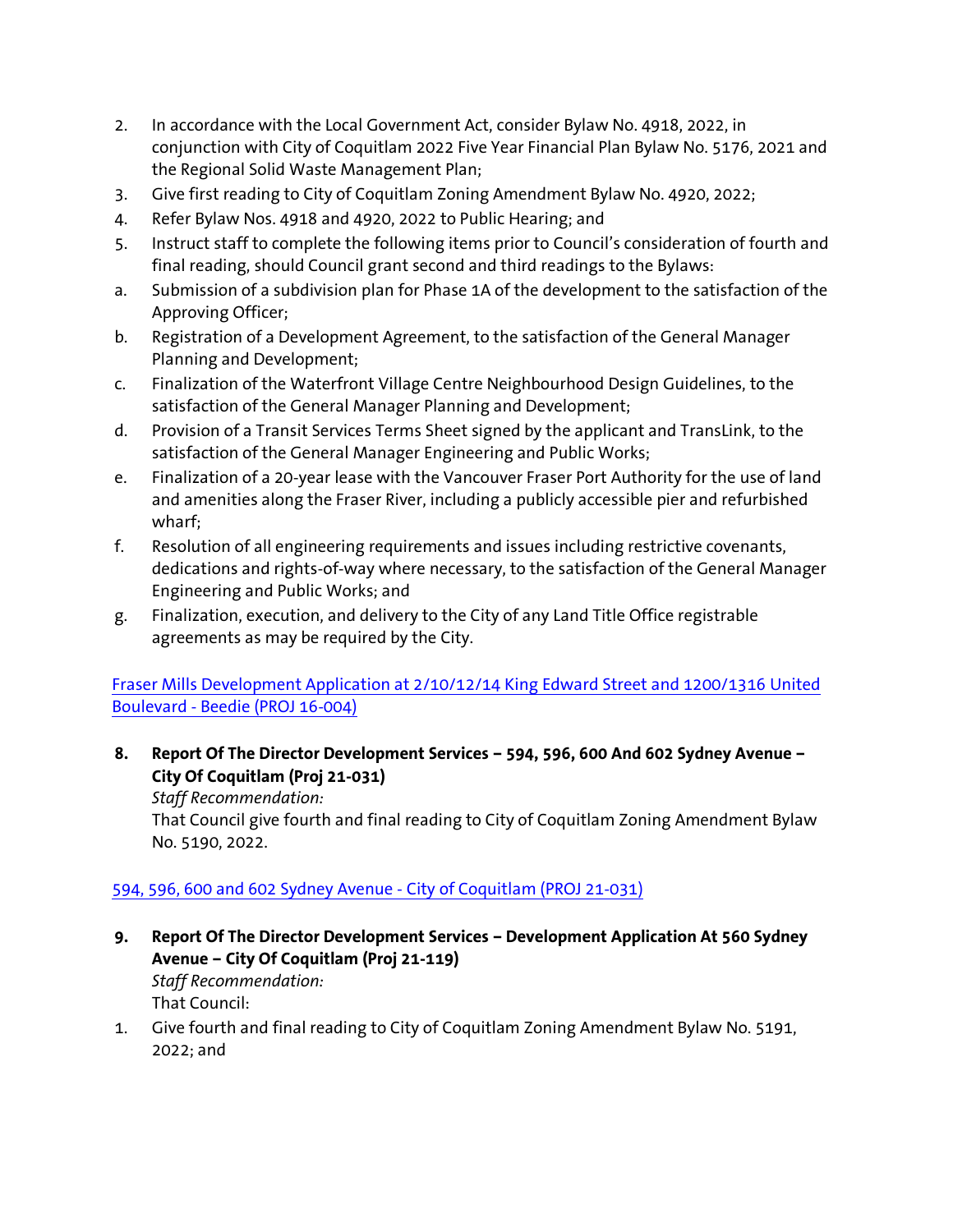- 2. In accordance with the Local Government Act, consider Bylaw No. 4918, 2022, in conjunction with City of Coquitlam 2022 Five Year Financial Plan Bylaw No. 5176, 2021 and the Regional Solid Waste Management Plan;
- 3. Give first reading to City of Coquitlam Zoning Amendment Bylaw No. 4920, 2022;
- 4. Refer Bylaw Nos. 4918 and 4920, 2022 to Public Hearing; and
- 5. Instruct staff to complete the following items prior to Council's consideration of fourth and final reading, should Council grant second and third readings to the Bylaws:
- a. Submission of a subdivision plan for Phase 1A of the development to the satisfaction of the Approving Officer;
- b. Registration of a Development Agreement, to the satisfaction of the General Manager Planning and Development;
- c. Finalization of the Waterfront Village Centre Neighbourhood Design Guidelines, to the satisfaction of the General Manager Planning and Development;
- d. Provision of a Transit Services Terms Sheet signed by the applicant and TransLink, to the satisfaction of the General Manager Engineering and Public Works;
- e. Finalization of a 20-year lease with the Vancouver Fraser Port Authority for the use of land and amenities along the Fraser River, including a publicly accessible pier and refurbished wharf;
- f. Resolution of all engineering requirements and issues including restrictive covenants, dedications and rights-of-way where necessary, to the satisfaction of the General Manager Engineering and Public Works; and
- g. Finalization, execution, and delivery to the City of any Land Title Office registrable agreements as may be required by the City.

## [Fraser Mills Development Application at 2/10/12/14 King Edward Street and 1200/1316 United](https://coquitlam.ca.granicus.com/MetaViewer.php?view_id=2&event_id=1411&meta_id=54767)  Boulevard - [Beedie \(PROJ 16-004\)](https://coquitlam.ca.granicus.com/MetaViewer.php?view_id=2&event_id=1411&meta_id=54767)

**8. Report Of The Director Development Services – 594, 596, 600 And 602 Sydney Avenue – City Of Coquitlam (Proj 21-031)**

*Staff Recommendation:*

That Council give fourth and final reading to City of Coquitlam Zoning Amendment Bylaw No. 5190, 2022.

# [594, 596, 600 and 602 Sydney Avenue -](https://coquitlam.ca.granicus.com/MetaViewer.php?view_id=2&event_id=1411&meta_id=54769) City of Coquitlam (PROJ 21-031)

**9. Report Of The Director Development Services – Development Application At 560 Sydney Avenue – City Of Coquitlam (Proj 21-119)** *Staff Recommendation:*

That Council:

1. Give fourth and final reading to City of Coquitlam Zoning Amendment Bylaw No. 5191, 2022; and